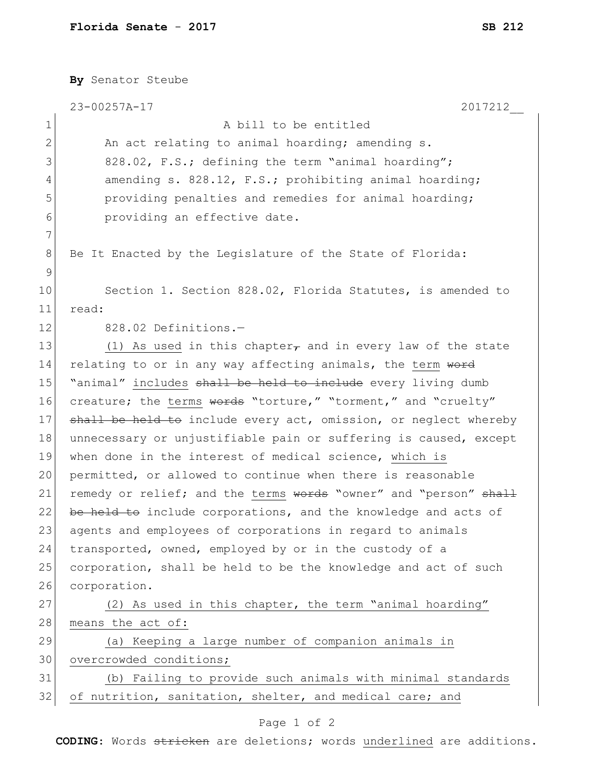|              | By Senator Steube                                                |
|--------------|------------------------------------------------------------------|
|              | 2017212<br>23-00257A-17                                          |
| $\mathbf 1$  | A bill to be entitled                                            |
| $\mathbf{2}$ | An act relating to animal hoarding; amending s.                  |
| 3            | 828.02, F.S.; defining the term "animal hoarding";               |
| 4            | amending s. 828.12, F.S.; prohibiting animal hoarding;           |
| 5            | providing penalties and remedies for animal hoarding;            |
| 6            | providing an effective date.                                     |
| 7            |                                                                  |
| 8            | Be It Enacted by the Legislature of the State of Florida:        |
| 9            |                                                                  |
| 10           | Section 1. Section 828.02, Florida Statutes, is amended to       |
| 11           | read:                                                            |
| 12           | 828.02 Definitions.-                                             |
| 13           | (1) As used in this chapter, and in every law of the state       |
| 14           | relating to or in any way affecting animals, the term word       |
| 15           | "animal" includes shall be held to include every living dumb     |
| 16           | creature; the terms words "torture," "torment," and "cruelty"    |
| 17           | shall be held to include every act, omission, or neglect whereby |
| 18           | unnecessary or unjustifiable pain or suffering is caused, except |
| 19           | when done in the interest of medical science, which is           |
| 20           | permitted, or allowed to continue when there is reasonable       |
| 21           | remedy or relief; and the terms words "owner" and "person" shall |
| 22           | be held to include corporations, and the knowledge and acts of   |
| 23           | agents and employees of corporations in regard to animals        |
| 24           | transported, owned, employed by or in the custody of a           |
| 25           | corporation, shall be held to be the knowledge and act of such   |
| 26           | corporation.                                                     |
| 27           | (2) As used in this chapter, the term "animal hoarding"          |
| 28           | means the act of:                                                |
| 29           | (a) Keeping a large number of companion animals in               |
| 30           | overcrowded conditions;                                          |
| 31           | (b) Failing to provide such animals with minimal standards       |
| 32           | of nutrition, sanitation, shelter, and medical care; and         |
|              |                                                                  |

## Page 1 of 2

**CODING**: Words stricken are deletions; words underlined are additions.